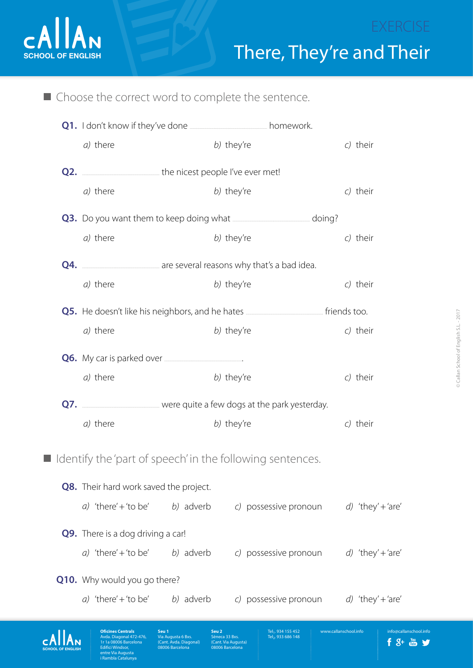

[SCHOOL OF ENGLISH](http://www.callanschool.info)

cAllAN

Avda. Diagonal 472-476, 1r 1a 08006 Barcelona Edifici Windsor, entre Via Augusta .<br>Shekara

**Seu 1**

ta 6 Bxs. (Cant. Avda. Diagonal) 08006 Barcelona

**Seu 2**

(Cant. Via Augusta) 08006 Barcelona

Tel<sub>1</sub>. 934 155 452<br>Tel<sub>2</sub>. 933 686 148

**Oficines Centrals** [www.callanschool.info](http://www.callanschool.info)

ool.info

f 8+ a y

 $\blacksquare$  Choose the correct word to complete the sentence.

|                                                             | a) there                                                                                                 |            | b) they're |                       |  | c) their          |  |
|-------------------------------------------------------------|----------------------------------------------------------------------------------------------------------|------------|------------|-----------------------|--|-------------------|--|
|                                                             | <b>Q2.</b> <u>_____________________</u> ___________the nicest people I've ever met!                      |            |            |                       |  |                   |  |
|                                                             | a) there                                                                                                 |            | b) they're |                       |  | c) their          |  |
|                                                             | <b>Q3.</b> Do you want them to keep doing what <b>contained analytical</b> doing?                        |            |            |                       |  |                   |  |
|                                                             | a) there                                                                                                 |            | b) they're |                       |  | c) their          |  |
|                                                             |                                                                                                          |            |            |                       |  |                   |  |
|                                                             | a) there                                                                                                 |            | b) they're |                       |  | c) their          |  |
|                                                             | Q5. He doesn't like his neighbors, and he hates <b>with the sensor many offermal states</b> friends too. |            |            |                       |  |                   |  |
|                                                             | a) there                                                                                                 |            | b) they're |                       |  | c) their          |  |
|                                                             |                                                                                                          |            |            |                       |  |                   |  |
|                                                             | a) there                                                                                                 |            | b) they're |                       |  | c) their          |  |
|                                                             | Q7. ___________________________ were quite a few dogs at the park yesterday.                             |            |            |                       |  |                   |  |
|                                                             | a) there                                                                                                 | b) they're |            |                       |  | c) their          |  |
| I Identify the 'part of speech' in the following sentences. |                                                                                                          |            |            |                       |  |                   |  |
|                                                             |                                                                                                          |            |            |                       |  |                   |  |
|                                                             | Q8. Their hard work saved the project.                                                                   |            |            |                       |  |                   |  |
|                                                             | a) 'there' + 'to be'                                                                                     | b) adverb  |            | c) possessive pronoun |  | d) 'they' + 'are' |  |
|                                                             | <b>Q9.</b> There is a dog driving a car!                                                                 |            |            |                       |  |                   |  |
|                                                             | a) 'there' + 'to be'                                                                                     | b) adverb  |            | c) possessive pronoun |  | d) 'they' + 'are' |  |
|                                                             | <b>Q10.</b> Why would you go there?                                                                      |            |            |                       |  |                   |  |
|                                                             | a) 'there' + 'to be'                                                                                     | b) adverb  |            | c) possessive pronoun |  | d) 'they' + 'are' |  |
|                                                             |                                                                                                          |            |            |                       |  |                   |  |